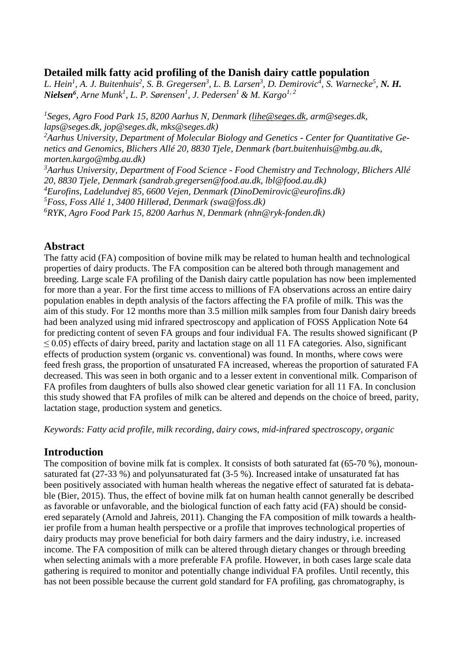# **Detailed milk fatty acid profiling of the Danish dairy cattle population**

L. Hein<sup>1</sup>, A. J. Buitenhuis<sup>2</sup>, S. B. Gregersen<sup>3</sup>, L. B. Larsen<sup>3</sup>, D. Demirovic<sup>4</sup>, S. Warnecke<sup>5</sup>, N. H. *Nielsen<sup>6</sup> , Arne Munk<sup>1</sup> , L. P. Sørensen<sup>1</sup> , J. Pedersen<sup>1</sup> & M. Kargo1, 2*

*1 Seges, Agro Food Park 15, 8200 Aarhus N, Denmark (lihe@seges.dk, arm@seges.dk, laps@seges.dk, jop@seges.dk, mks@seges.dk) <sup>2</sup>Aarhus University, Department of Molecular Biology and Genetics - Center for Quantitative Genetics and Genomics, Blichers Allé 20, 8830 Tjele, Denmark (bart.buitenhuis@mbg.au.dk, morten.kargo@mbg.au.dk) <sup>3</sup>Aarhus University, Department of Food Science - Food Chemistry and Technology, Blichers Allé 20, 8830 Tjele, Denmark (sandrab.gregersen@food.au.dk, lbl@food.au.dk) <sup>4</sup>Eurofins, Ladelundvej 85, 6600 Vejen, Denmark (DinoDemirovic@eurofins.dk) <sup>5</sup>Foss, Foss Allé 1, 3400 Hillerød, Denmark (swa@foss.dk) <sup>6</sup>RYK, Agro Food Park 15, 8200 Aarhus N, Denmark (nhn@ryk-fonden.dk)*

# **Abstract**

The fatty acid (FA) composition of bovine milk may be related to human health and technological properties of dairy products. The FA composition can be altered both through management and breeding. Large scale FA profiling of the Danish dairy cattle population has now been implemented for more than a year. For the first time access to millions of FA observations across an entire dairy population enables in depth analysis of the factors affecting the FA profile of milk. This was the aim of this study. For 12 months more than 3.5 million milk samples from four Danish dairy breeds had been analyzed using mid infrared spectroscopy and application of FOSS Application Note 64 for predicting content of seven FA groups and four individual FA. The results showed significant (P  $\leq$  0.05) effects of dairy breed, parity and lactation stage on all 11 FA categories. Also, significant effects of production system (organic vs. conventional) was found. In months, where cows were feed fresh grass, the proportion of unsaturated FA increased, whereas the proportion of saturated FA decreased. This was seen in both organic and to a lesser extent in conventional milk. Comparison of FA profiles from daughters of bulls also showed clear genetic variation for all 11 FA. In conclusion this study showed that FA profiles of milk can be altered and depends on the choice of breed, parity, lactation stage, production system and genetics.

*Keywords: Fatty acid profile, milk recording, dairy cows, mid-infrared spectroscopy, organic*

# **Introduction**

The composition of bovine milk fat is complex. It consists of both saturated fat (65-70 %), monounsaturated fat (27-33 %) and polyunsaturated fat (3-5 %). Increased intake of unsaturated fat has been positively associated with human health whereas the negative effect of saturated fat is debatable (Bier, 2015). Thus, the effect of bovine milk fat on human health cannot generally be described as favorable or unfavorable, and the biological function of each fatty acid (FA) should be considered separately (Arnold and Jahreis, 2011). Changing the FA composition of milk towards a healthier profile from a human health perspective or a profile that improves technological properties of dairy products may prove beneficial for both dairy farmers and the dairy industry, i.e. increased income. The FA composition of milk can be altered through dietary changes or through breeding when selecting animals with a more preferable FA profile. However, in both cases large scale data gathering is required to monitor and potentially change individual FA profiles. Until recently, this has not been possible because the current gold standard for FA profiling, gas chromatography, is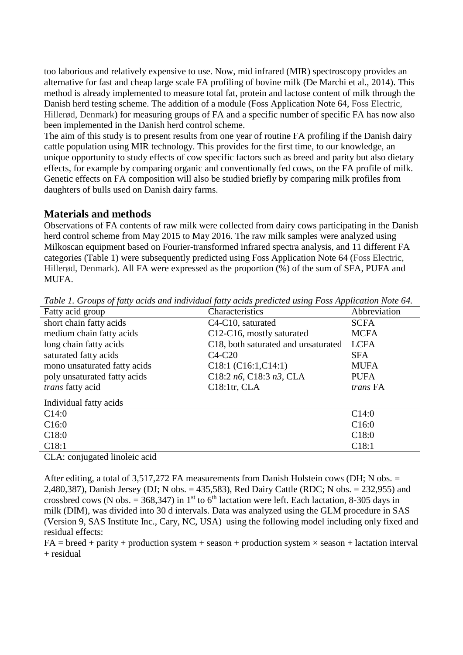too laborious and relatively expensive to use. Now, mid infrared (MIR) spectroscopy provides an alternative for fast and cheap large scale FA profiling of bovine milk (De Marchi et al., 2014). This method is already implemented to measure total fat, protein and lactose content of milk through the Danish herd testing scheme. The addition of a module (Foss Application Note 64, Foss Electric, Hillerød, Denmark) for measuring groups of FA and a specific number of specific FA has now also been implemented in the Danish herd control scheme.

The aim of this study is to present results from one year of routine FA profiling if the Danish dairy cattle population using MIR technology. This provides for the first time, to our knowledge, an unique opportunity to study effects of cow specific factors such as breed and parity but also dietary effects, for example by comparing organic and conventionally fed cows, on the FA profile of milk. Genetic effects on FA composition will also be studied briefly by comparing milk profiles from daughters of bulls used on Danish dairy farms.

#### **Materials and methods**

Observations of FA contents of raw milk were collected from dairy cows participating in the Danish herd control scheme from May 2015 to May 2016. The raw milk samples were analyzed using Milkoscan equipment based on Fourier-transformed infrared spectra analysis, and 11 different FA categories (Table 1) were subsequently predicted using Foss Application Note 64 (Foss Electric, Hillerød, Denmark). All FA were expressed as the proportion (%) of the sum of SFA, PUFA and MUFA.

| <u>Fabre II Stomps of fair, actus und mannament fair, actus predicted home, I oss ripphedition from STI</u> |                                                  |                 |
|-------------------------------------------------------------------------------------------------------------|--------------------------------------------------|-----------------|
| Fatty acid group                                                                                            | Characteristics                                  | Abbreviation    |
| short chain fatty acids                                                                                     | C <sub>4</sub> -C <sub>10</sub> , saturated      | <b>SCFA</b>     |
| medium chain fatty acids                                                                                    | C12-C16, mostly saturated                        | <b>MCFA</b>     |
| long chain fatty acids                                                                                      | C <sub>18</sub> , both saturated and unsaturated | <b>LCFA</b>     |
| saturated fatty acids                                                                                       | $C4-C20$                                         | <b>SFA</b>      |
| mono unsaturated fatty acids                                                                                | C18:1 (C16:1, C14:1)                             | <b>MUFA</b>     |
| poly unsaturated fatty acids                                                                                | C18:2 $n6$ , C18:3 $n3$ , CLA                    | <b>PUFA</b>     |
| trans fatty acid                                                                                            | $C18:1$ tr, CLA                                  | <i>trans</i> FA |
| Individual fatty acids                                                                                      |                                                  |                 |
| C14:0                                                                                                       |                                                  | C14:0           |
| C16:0                                                                                                       |                                                  | C16:0           |
| C18:0                                                                                                       |                                                  | C18:0           |
| C18:1                                                                                                       |                                                  | C18:1           |
| $\sim$ $\sim$                                                                                               |                                                  |                 |

*Table 1. Groups of fatty acids and individual fatty acids predicted using Foss Application Note 64.*

CLA: conjugated linoleic acid

After editing, a total of 3,517,272 FA measurements from Danish Holstein cows (DH; N obs. = 2,480,387), Danish Jersey (DJ; N obs. = 435,583), Red Dairy Cattle (RDC; N obs. = 232,955) and crossbred cows (N obs. = 368,347) in 1<sup>st</sup> to 6<sup>th</sup> lactation were left. Each lactation, 8-305 days in milk (DIM), was divided into 30 d intervals. Data was analyzed using the GLM procedure in SAS (Version 9, SAS Institute Inc., Cary, NC, USA) using the following model including only fixed and residual effects:

 $FA = breed + parity + production system + season + production system \times season + lactation interval$ + residual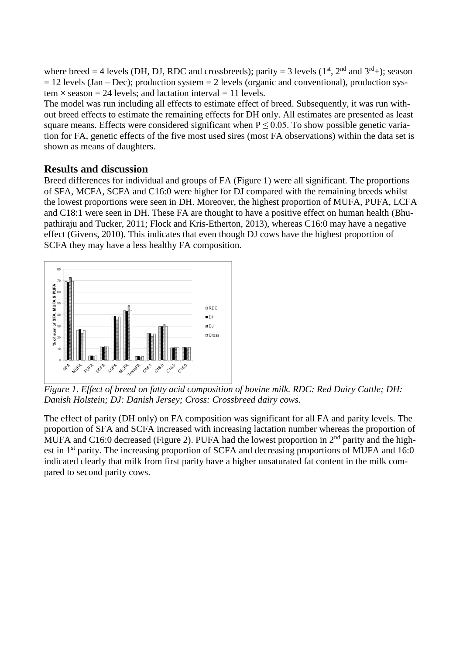where breed = 4 levels (DH, DJ, RDC and crossbreeds); parity = 3 levels ( $1<sup>st</sup>$ ,  $2<sup>nd</sup>$  and  $3<sup>rd</sup>$ +); season  $= 12$  levels (Jan – Dec); production system  $= 2$  levels (organic and conventional), production sys $tem \times season = 24$  levels; and lactation interval = 11 levels.

The model was run including all effects to estimate effect of breed. Subsequently, it was run without breed effects to estimate the remaining effects for DH only. All estimates are presented as least square means. Effects were considered significant when  $P \le 0.05$ . To show possible genetic variation for FA, genetic effects of the five most used sires (most FA observations) within the data set is shown as means of daughters.

# **Results and discussion**

Breed differences for individual and groups of FA (Figure 1) were all significant. The proportions of SFA, MCFA, SCFA and C16:0 were higher for DJ compared with the remaining breeds whilst the lowest proportions were seen in DH. Moreover, the highest proportion of MUFA, PUFA, LCFA and C18:1 were seen in DH. These FA are thought to have a positive effect on human health (Bhupathiraju and Tucker, 2011; Flock and Kris-Etherton, 2013), whereas C16:0 may have a negative effect (Givens, 2010). This indicates that even though DJ cows have the highest proportion of SCFA they may have a less healthy FA composition.



*Figure 1. Effect of breed on fatty acid composition of bovine milk. RDC: Red Dairy Cattle; DH: Danish Holstein; DJ: Danish Jersey; Cross: Crossbreed dairy cows.*

The effect of parity (DH only) on FA composition was significant for all FA and parity levels. The proportion of SFA and SCFA increased with increasing lactation number whereas the proportion of MUFA and C16:0 decreased (Figure 2). PUFA had the lowest proportion in  $2<sup>nd</sup>$  parity and the highest in 1<sup>st</sup> parity. The increasing proportion of SCFA and decreasing proportions of MUFA and 16:0 indicated clearly that milk from first parity have a higher unsaturated fat content in the milk compared to second parity cows.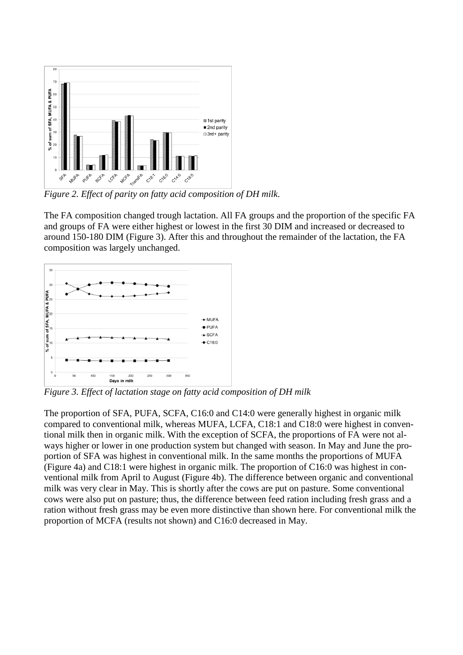

*Figure 2. Effect of parity on fatty acid composition of DH milk.*

The FA composition changed trough lactation. All FA groups and the proportion of the specific FA and groups of FA were either highest or lowest in the first 30 DIM and increased or decreased to around 150-180 DIM (Figure 3). After this and throughout the remainder of the lactation, the FA composition was largely unchanged.



*Figure 3. Effect of lactation stage on fatty acid composition of DH milk*

The proportion of SFA, PUFA, SCFA, C16:0 and C14:0 were generally highest in organic milk compared to conventional milk, whereas MUFA, LCFA, C18:1 and C18:0 were highest in conventional milk then in organic milk. With the exception of SCFA, the proportions of FA were not always higher or lower in one production system but changed with season. In May and June the proportion of SFA was highest in conventional milk. In the same months the proportions of MUFA (Figure 4a) and C18:1 were highest in organic milk. The proportion of C16:0 was highest in conventional milk from April to August (Figure 4b). The difference between organic and conventional milk was very clear in May. This is shortly after the cows are put on pasture. Some conventional cows were also put on pasture; thus, the difference between feed ration including fresh grass and a ration without fresh grass may be even more distinctive than shown here. For conventional milk the proportion of MCFA (results not shown) and C16:0 decreased in May.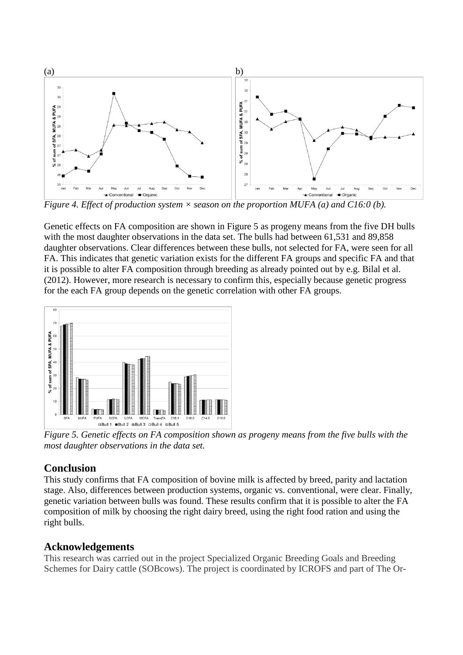

*Figure 4. Effect of production system × season on the proportion MUFA (a) and C16:0 (b).*

Genetic effects on FA composition are shown in Figure 5 as progeny means from the five DH bulls with the most daughter observations in the data set. The bulls had between 61,531 and 89,858 daughter observations. Clear differences between these bulls, not selected for FA, were seen for all FA. This indicates that genetic variation exists for the different FA groups and specific FA and that it is possible to alter FA composition through breeding as already pointed out by e.g. Bilal et al. (2012). However, more research is necessary to confirm this, especially because genetic progress for the each FA group depends on the genetic correlation with other FA groups.



*Figure 5. Genetic effects on FA composition shown as progeny means from the five bulls with the most daughter observations in the data set.*

#### **Conclusion**

This study confirms that FA composition of bovine milk is affected by breed, parity and lactation stage. Also, differences between production systems, organic vs. conventional, were clear. Finally, genetic variation between bulls was found. These results confirm that it is possible to alter the FA composition of milk by choosing the right dairy breed, using the right food ration and using the right bulls.

#### **Acknowledgements**

This research was carried out in the project Specialized Organic Breeding Goals and Breeding Schemes for Dairy cattle (SOBcows). The project is coordinated by ICROFS and part of The Or